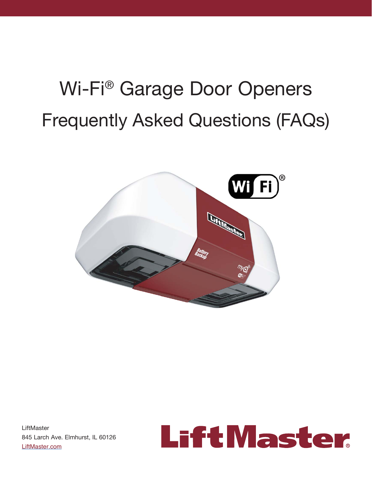# Wi-Fi® Garage Door Openers Frequently Asked Questions (FAQs)



**LiftMaster** 845 Larch Ave. Elmhurst, IL 60126 LiftMaster.com

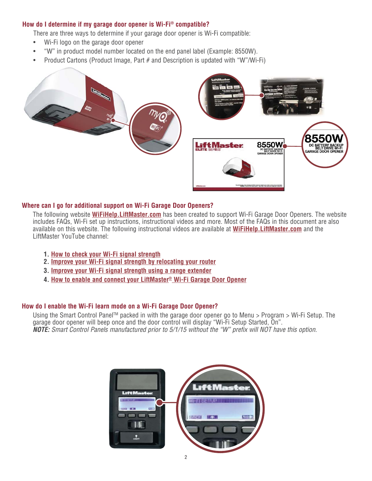# **How do I determine if my garage door opener is Wi-Fi® compatible?**

There are three ways to determine if your garage door opener is Wi-Fi compatible:

- Wi-Fi logo on the garage door opener
- "W" in product model number located on the end panel label (Example: 8550W).
- Product Cartons (Product Image, Part # and Description is updated with "W"/Wi-Fi)





# **Where can I go for additional support on Wi-Fi Garage Door Openers?**

 The following website **WiFiHelp.LiftMaster.com** has been created to support Wi-Fi Garage Door Openers. The website includes FAQs, Wi-Fi set up instructions, instructional videos and more. Most of the FAQs in this document are also available on this website. The following instructional videos are available at **WiFiHelp.LiftMaster.com** and the LiftMaster YouTube channel:

- **1. How to check your Wi-Fi signal strength**
- **2. Improve your Wi-Fi signal strength by relocating your router**
- **3. Improve your Wi-Fi signal strength using a range extender**
- **4. How to enable and connect your LiftMaster® Wi-Fi Garage Door Opener**

# **How do I enable the Wi-Fi learn mode on a Wi-Fi Garage Door Opener?**

Using the Smart Control Panel™ packed in with the garage door opener go to Menu > Program > Wi-Fi Setup. The garage door opener will beep once and the door control will display "Wi-Fi Setup Started, On". *NOTE:* Smart Control Panels manufactured prior to 5/1/15 without the "W" prefix will NOT have this option.

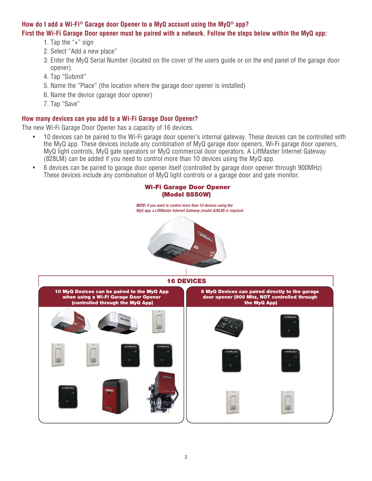# **How do I add a Wi-Fi® Garage door Opener to a MyQ account using the MyQ® app? First the Wi-Fi Garage Door opener must be paired with a network. Follow the steps below within the MyQ app:**

- 1. Tap the "+" sign
- 2. Select "Add a new place"
- 3. Enter the MyQ Serial Number (located on the cover of the users guide or on the end panel of the garage door opener).
- 4. Tap "Submit"
- 5. Name the "Place" (the location where the garage door opener is installed)
- 6. Name the device (garage door opener)
- 7. Tap "Save"

# **How many devices can you add to a Wi-Fi Garage Door Opener?**

The new Wi-Fi Garage Door Opener has a capacity of 16 devices.

- 10 devices can be paired to the Wi-Fi garage door opener's internal gateway. These devices can be controlled with the MyQ app. These devices include any combination of MyQ garage door openers, Wi-Fi garage door openers, MyQ light controls, MyQ gate operators or MyQ commercial door operators. A LiftMaster Internet Gateway (828LM) can be added if you need to control more than 10 devices using the MyQ app.
- 6 devices can be paired to garage door opener itself (controlled by garage door opener through 900MHz) These devices include any combination of MyQ light controls or a garage door and gate monitor.

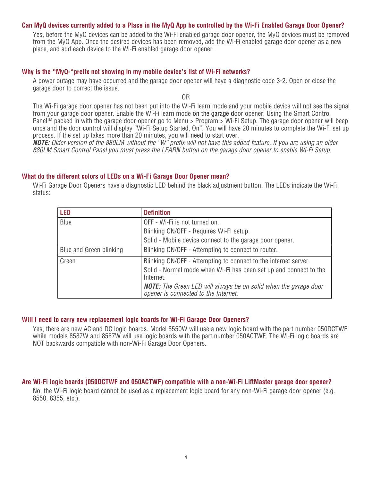## **Can MyQ devices currently added to a Place in the MyQ App be controlled by the Wi-Fi Enabled Garage Door Opener?**

 Yes, before the MyQ devices can be added to the Wi-Fi enabled garage door opener, the MyQ devices must be removed from the MyQ App. Once the desired devices has been removed, add the Wi-Fi enabled garage door opener as a new place, and add each device to the Wi-Fi enabled garage door opener.

#### **Why is the "MyQ-"prefix not showing in my mobile device's list of Wi-Fi networks?**

 A power outage may have occurred and the garage door opener will have a diagnostic code 3-2. Open or close the garage door to correct the issue.

OR

 The Wi-Fi garage door opener has not been put into the Wi-Fi learn mode and your mobile device will not see the signal from your garage door opener. Enable the Wi-Fi learn mode on the garage door opener: Using the Smart Control Panel<sup>™</sup> packed in with the garage door opener go to Menu > Program > Wi-Fi Setup. The garage door opener will beep once and the door control will display "Wi-Fi Setup Started, On". You will have 20 minutes to complete the Wi-Fi set up process. If the set up takes more than 20 minutes, you will need to start over.

*NOTE:* Older version of the 880LM without the "W" prefix will not have this added feature. If you are using an older 880LM Smart Control Panel you must press the LEARN button on the garage door opener to enable Wi-Fi Setup.

#### **What do the different colors of LEDs on a Wi-Fi Garage Door Opener mean?**

 Wi-Fi Garage Door Openers have a diagnostic LED behind the black adjustment button. The LEDs indicate the Wi-Fi status:

| <b>LED</b>              | <b>Definition</b>                                                                                                                                 |
|-------------------------|---------------------------------------------------------------------------------------------------------------------------------------------------|
| Blue                    | OFF - Wi-Fi is not turned on.                                                                                                                     |
|                         | Blinking ON/OFF - Requires Wi-FI setup.                                                                                                           |
|                         | Solid - Mobile device connect to the garage door opener.                                                                                          |
| Blue and Green blinking | Blinking ON/OFF - Attempting to connect to router.                                                                                                |
| Green                   | Blinking ON/OFF - Attempting to connect to the internet server.<br>Solid - Normal mode when Wi-Fi has been set up and connect to the<br>Internet. |
|                         | <b>NOTE:</b> The Green LED will always be on solid when the garage door<br>opener is connected to the Internet.                                   |

#### **Will I need to carry new replacement logic boards for Wi-Fi Garage Door Openers?**

Yes, there are new AC and DC logic boards. Model 8550W will use a new logic board with the part number 050DCTWF, while models 8587W and 8557W will use logic boards with the part number 050ACTWF. The Wi-Fi logic boards are NOT backwards compatible with non-Wi-Fi Garage Door Openers.

#### **Are Wi-Fi logic boards (050DCTWF and 050ACTWF) compatible with a non-Wi-Fi LiftMaster garage door opener?**

No, the Wi-Fi logic board cannot be used as a replacement logic board for any non-Wi-Fi garage door opener (e.g. 8550, 8355, etc.).